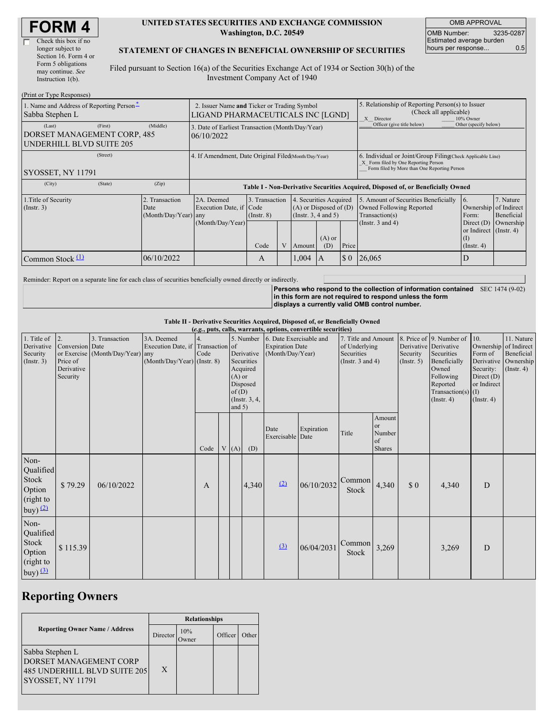| Check this box if no  |
|-----------------------|
| longer subject to     |
| Section 16. Form 4 or |
| Form 5 obligations    |
| may continue. See     |
| Instruction $1(b)$ .  |
|                       |

#### **UNITED STATES SECURITIES AND EXCHANGE COMMISSION Washington, D.C. 20549**

OMB APPROVAL OMB Number: 3235-0287 Estimated average burden hours per response... 0.5

#### **STATEMENT OF CHANGES IN BENEFICIAL OWNERSHIP OF SECURITIES**

Filed pursuant to Section 16(a) of the Securities Exchange Act of 1934 or Section 30(h) of the Investment Company Act of 1940

| (Print or Type Responses)                                                                  |                                                                                  |                                                                                  |                                   |   |                                                                              |                 |                                                                                                       |                                                                                                                                                    |                                                |                         |  |
|--------------------------------------------------------------------------------------------|----------------------------------------------------------------------------------|----------------------------------------------------------------------------------|-----------------------------------|---|------------------------------------------------------------------------------|-----------------|-------------------------------------------------------------------------------------------------------|----------------------------------------------------------------------------------------------------------------------------------------------------|------------------------------------------------|-------------------------|--|
| 1. Name and Address of Reporting Person-<br>Sabba Stephen L                                | 2. Issuer Name and Ticker or Trading Symbol<br>LIGAND PHARMACEUTICALS INC [LGND] |                                                                                  |                                   |   |                                                                              |                 | 5. Relationship of Reporting Person(s) to Issuer<br>(Check all applicable)<br>X Director<br>10% Owner |                                                                                                                                                    |                                                |                         |  |
| (First)<br>(Last)<br>DORSET MANAGEMENT CORP, 485<br><b>UNDERHILL BLVD SUITE 205</b>        | (Middle)                                                                         | 3. Date of Earliest Transaction (Month/Day/Year)<br>06/10/2022                   |                                   |   |                                                                              |                 |                                                                                                       | Officer (give title below)                                                                                                                         | Other (specify below)                          |                         |  |
| (Street)<br>SYOSSET, NY 11791                                                              |                                                                                  | 4. If Amendment, Date Original Filed Month/Day/Year)                             |                                   |   |                                                                              |                 |                                                                                                       | 6. Individual or Joint/Group Filing Check Applicable Line)<br>X Form filed by One Reporting Person<br>Form filed by More than One Reporting Person |                                                |                         |  |
| (State)<br>(City)                                                                          | (Zip)                                                                            | Table I - Non-Derivative Securities Acquired, Disposed of, or Beneficially Owned |                                   |   |                                                                              |                 |                                                                                                       |                                                                                                                                                    |                                                |                         |  |
| 1. Title of Security<br>2. Transaction<br>$($ Instr. 3 $)$<br>Date<br>(Month/Day/Year) any |                                                                                  | 2A. Deemed<br>Execution Date, if Code                                            | 3. Transaction<br>$($ Instr. $8)$ |   | 4. Securities Acquired<br>$(A)$ or Disposed of $(D)$<br>(Insert. 3, 4 and 5) |                 |                                                                                                       | 5. Amount of Securities Beneficially<br>Owned Following Reported<br>Transaction(s)                                                                 | 6.<br>Ownership of Indirect<br>Form:           | 7. Nature<br>Beneficial |  |
|                                                                                            |                                                                                  | (Month/Day/Year)                                                                 | Code                              | V | Amount                                                                       | $(A)$ or<br>(D) | Price                                                                                                 | (Instr. $3$ and $4$ )                                                                                                                              | or Indirect (Instr. 4)<br>(I)<br>$($ Instr. 4) | Direct $(D)$ Ownership  |  |
| Common Stock $(1)$                                                                         | 06/10/2022                                                                       |                                                                                  | A                                 |   | 1,004                                                                        | I A             | $\Omega$                                                                                              | 26,065                                                                                                                                             | D                                              |                         |  |

Reminder: Report on a separate line for each class of securities beneficially owned directly or indirectly.

**Persons who respond to the collection of information contained** SEC 1474 (9-02) **in this form are not required to respond unless the form displays a currently valid OMB control number.**

**Table II - Derivative Securities Acquired, Disposed of, or Beneficially Owned**

| (e.g., puts, calls, warrants, options, convertible securities)  |                                                             |                                                    |                                                                                  |      |  |      |                                                                                                                                                                                         |                          |            |                                                                             |                                                      |                                                  |                                                                                                                                                    |                                                                                                                |                                                                      |
|-----------------------------------------------------------------|-------------------------------------------------------------|----------------------------------------------------|----------------------------------------------------------------------------------|------|--|------|-----------------------------------------------------------------------------------------------------------------------------------------------------------------------------------------|--------------------------|------------|-----------------------------------------------------------------------------|------------------------------------------------------|--------------------------------------------------|----------------------------------------------------------------------------------------------------------------------------------------------------|----------------------------------------------------------------------------------------------------------------|----------------------------------------------------------------------|
| 1. Title of<br>Derivative<br>Security<br>(Insert. 3)            | 2.<br>Conversion Date<br>Price of<br>Derivative<br>Security | 3. Transaction<br>or Exercise (Month/Day/Year) any | 3A. Deemed<br>Execution Date, if Transaction of<br>$(Month/Day/Year)$ (Instr. 8) | Code |  |      | 5. Number 6. Date Exercisable and<br><b>Expiration Date</b><br>Derivative<br>(Month/Day/Year)<br>Securities<br>Acquired<br>$(A)$ or<br>Disposed<br>of(D)<br>(Instr. $3, 4,$<br>and $5)$ |                          |            | 7. Title and Amount<br>of Underlying<br>Securities<br>(Instr. $3$ and $4$ ) |                                                      | Security<br>$($ Instr. 5 $)$                     | 8. Price of 9. Number of<br>Derivative Derivative<br>Securities<br>Beneficially<br>Owned<br>Following<br>Reported<br>Transaction(s)<br>(Insert. 4) | 10.<br>Ownership of Indirect<br>Form of<br>Security:<br>Direct $(D)$<br>or Indirect<br>(I)<br>$($ Instr. 4 $)$ | 11. Nature<br>Beneficial<br>Derivative Ownership<br>$($ Instr. 4 $)$ |
|                                                                 |                                                             |                                                    |                                                                                  | Code |  | V(A) | (D)                                                                                                                                                                                     | Date<br>Exercisable Date | Expiration | Title                                                                       | Amount<br><b>or</b><br>Number<br>of<br><b>Shares</b> |                                                  |                                                                                                                                                    |                                                                                                                |                                                                      |
| Non-<br>Qualified<br>Stock<br>Option<br>(right to<br>buy) $(2)$ | \$79.29                                                     | 06/10/2022                                         |                                                                                  | A    |  |      | 4,340                                                                                                                                                                                   | (2)                      | 06/10/2032 | Common<br>Stock                                                             | 4,340                                                | $\boldsymbol{\mathsf{S}}\boldsymbol{\mathsf{0}}$ | 4,340                                                                                                                                              | D                                                                                                              |                                                                      |
| Non-<br>Qualified<br>Stock<br>Option<br>(right to<br>buy) $(3)$ | \$115.39                                                    |                                                    |                                                                                  |      |  |      |                                                                                                                                                                                         | (3)                      | 06/04/2031 | Common<br>Stock                                                             | 3,269                                                |                                                  | 3,269                                                                                                                                              | D                                                                                                              |                                                                      |

## **Reporting Owners**

|                                                                                                       | <b>Relationships</b> |             |         |       |  |  |  |
|-------------------------------------------------------------------------------------------------------|----------------------|-------------|---------|-------|--|--|--|
| <b>Reporting Owner Name / Address</b>                                                                 | Director             | 10%<br>wner | Officer | Other |  |  |  |
| Sabba Stephen L<br>DORSET MANAGEMENT CORP<br>485 UNDERHILL BLVD SUITE 205<br><b>SYOSSET, NY 11791</b> | X                    |             |         |       |  |  |  |